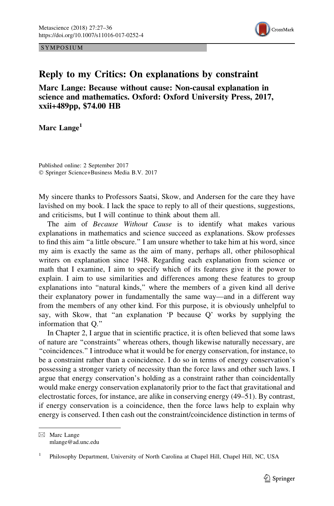SYMPOSIUM



## Reply to my Critics: On explanations by constraint

Marc Lange: Because without cause: Non-causal explanation in science and mathematics. Oxford: Oxford University Press, 2017, xxii+489pp, \$74.00 HB

Marc Lange<sup>1</sup>

Published online: 2 September 2017 © Springer Science+Business Media B.V. 2017

My sincere thanks to Professors Saatsi, Skow, and Andersen for the care they have lavished on my book. I lack the space to reply to all of their questions, suggestions, and criticisms, but I will continue to think about them all.

The aim of Because Without Cause is to identify what makes various explanations in mathematics and science succeed as explanations. Skow professes to find this aim ''a little obscure.'' I am unsure whether to take him at his word, since my aim is exactly the same as the aim of many, perhaps all, other philosophical writers on explanation since 1948. Regarding each explanation from science or math that I examine, I aim to specify which of its features give it the power to explain. I aim to use similarities and differences among these features to group explanations into ''natural kinds,'' where the members of a given kind all derive their explanatory power in fundamentally the same way—and in a different way from the members of any other kind. For this purpose, it is obviously unhelpful to say, with Skow, that ''an explanation 'P because Q' works by supplying the information that Q.''

In Chapter 2, I argue that in scientific practice, it is often believed that some laws of nature are ''constraints'' whereas others, though likewise naturally necessary, are ''coincidences.'' I introduce what it would be for energy conservation, for instance, to be a constraint rather than a coincidence. I do so in terms of energy conservation's possessing a stronger variety of necessity than the force laws and other such laws. I argue that energy conservation's holding as a constraint rather than coincidentally would make energy conservation explanatorily prior to the fact that gravitational and electrostatic forces, for instance, are alike in conserving energy (49–51). By contrast, if energy conservation is a coincidence, then the force laws help to explain why energy is conserved. I then cash out the constraint/coincidence distinction in terms of

 $\boxtimes$  Marc Lange mlange@ad.unc.edu

<sup>&</sup>lt;sup>1</sup> Philosophy Department, University of North Carolina at Chapel Hill, Chapel Hill, NC, USA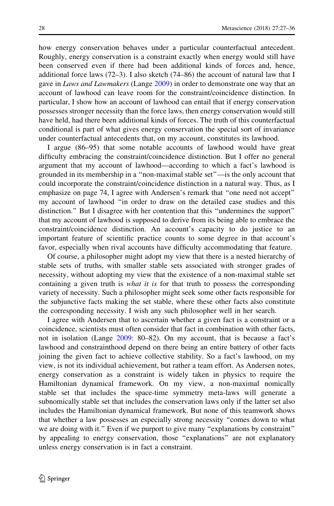how energy conservation behaves under a particular counterfactual antecedent. Roughly, energy conservation is a constraint exactly when energy would still have been conserved even if there had been additional kinds of forces and, hence, additional force laws (72–3). I also sketch (74–86) the account of natural law that I gave in Laws and Lawmakers (Lange [2009](#page-9-0)) in order to demonstrate one way that an account of lawhood can leave room for the constraint/coincidence distinction. In particular, I show how an account of lawhood can entail that if energy conservation possesses stronger necessity than the force laws, then energy conservation would still have held, had there been additional kinds of forces. The truth of this counterfactual conditional is part of what gives energy conservation the special sort of invariance under counterfactual antecedents that, on my account, constitutes its lawhood.

I argue (86–95) that some notable accounts of lawhood would have great difficulty embracing the constraint/coincidence distinction. But I offer no general argument that my account of lawhood—according to which a fact's lawhood is grounded in its membership in a ''non-maximal stable set''—is the only account that could incorporate the constraint/coincidence distinction in a natural way. Thus, as I emphasize on page 74, I agree with Andersen's remark that ''one need not accept'' my account of lawhood ''in order to draw on the detailed case studies and this distinction.'' But I disagree with her contention that this ''undermines the support'' that my account of lawhood is supposed to derive from its being able to embrace the constraint/coincidence distinction. An account's capacity to do justice to an important feature of scientific practice counts to some degree in that account's favor, especially when rival accounts have difficulty accommodating that feature.

Of course, a philosopher might adopt my view that there is a nested hierarchy of stable sets of truths, with smaller stable sets associated with stronger grades of necessity, without adopting my view that the existence of a non-maximal stable set containing a given truth is *what it is* for that truth to possess the corresponding variety of necessity. Such a philosopher might seek some other facts responsible for the subjunctive facts making the set stable, where these other facts also constitute the corresponding necessity. I wish any such philosopher well in her search.

I agree with Andersen that to ascertain whether a given fact is a constraint or a coincidence, scientists must often consider that fact in combination with other facts, not in isolation (Lange [2009](#page-9-0): 80–82). On my account, that is because a fact's lawhood and constrainthood depend on there being an entire battery of other facts joining the given fact to achieve collective stability. So a fact's lawhood, on my view, is not its individual achievement, but rather a team effort. As Andersen notes, energy conservation as a constraint is widely taken in physics to require the Hamiltonian dynamical framework. On my view, a non-maximal nomically stable set that includes the space-time symmetry meta-laws will generate a subnomically stable set that includes the conservation laws only if the latter set also includes the Hamiltonian dynamical framework. But none of this teamwork shows that whether a law possesses an especially strong necessity ''comes down to what we are doing with it." Even if we purport to give many "explanations by constraint" by appealing to energy conservation, those ''explanations'' are not explanatory unless energy conservation is in fact a constraint.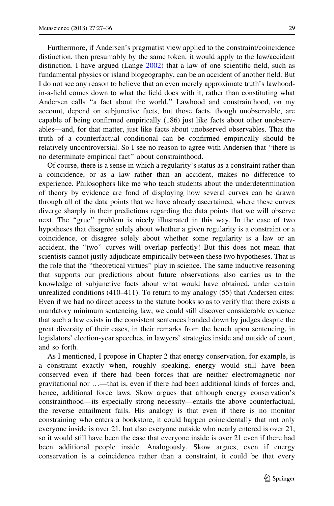Furthermore, if Andersen's pragmatist view applied to the constraint/coincidence distinction, then presumably by the same token, it would apply to the law/accident distinction. I have argued (Lange [2002](#page-9-0)) that a law of one scientific field, such as fundamental physics or island biogeography, can be an accident of another field. But I do not see any reason to believe that an even merely approximate truth's lawhoodin-a-field comes down to what the field does with it, rather than constituting what Andersen calls ''a fact about the world.'' Lawhood and constrainthood, on my account, depend on subjunctive facts, but those facts, though unobservable, are capable of being confirmed empirically (186) just like facts about other unobservables—and, for that matter, just like facts about unobserved observables. That the truth of a counterfactual conditional can be confirmed empirically should be relatively uncontroversial. So I see no reason to agree with Andersen that ''there is no determinate empirical fact'' about constrainthood.

Of course, there is a sense in which a regularity's status as a constraint rather than a coincidence, or as a law rather than an accident, makes no difference to experience. Philosophers like me who teach students about the underdetermination of theory by evidence are fond of displaying how several curves can be drawn through all of the data points that we have already ascertained, where these curves diverge sharply in their predictions regarding the data points that we will observe next. The ''grue'' problem is nicely illustrated in this way. In the case of two hypotheses that disagree solely about whether a given regularity is a constraint or a coincidence, or disagree solely about whether some regularity is a law or an accident, the ''two'' curves will overlap perfectly! But this does not mean that scientists cannot justly adjudicate empirically between these two hypotheses. That is the role that the ''theoretical virtues'' play in science. The same inductive reasoning that supports our predictions about future observations also carries us to the knowledge of subjunctive facts about what would have obtained, under certain unrealized conditions (410–411). To return to my analogy (55) that Andersen cites: Even if we had no direct access to the statute books so as to verify that there exists a mandatory minimum sentencing law, we could still discover considerable evidence that such a law exists in the consistent sentences handed down by judges despite the great diversity of their cases, in their remarks from the bench upon sentencing, in legislators' election-year speeches, in lawyers' strategies inside and outside of court, and so forth.

As I mentioned, I propose in Chapter 2 that energy conservation, for example, is a constraint exactly when, roughly speaking, energy would still have been conserved even if there had been forces that are neither electromagnetic nor gravitational nor …—that is, even if there had been additional kinds of forces and, hence, additional force laws. Skow argues that although energy conservation's constrainthood—its especially strong necessity—entails the above counterfactual, the reverse entailment fails. His analogy is that even if there is no monitor constraining who enters a bookstore, it could happen coincidentally that not only everyone inside is over 21, but also everyone outside who nearly entered is over 21, so it would still have been the case that everyone inside is over 21 even if there had been additional people inside. Analogously, Skow argues, even if energy conservation is a coincidence rather than a constraint, it could be that every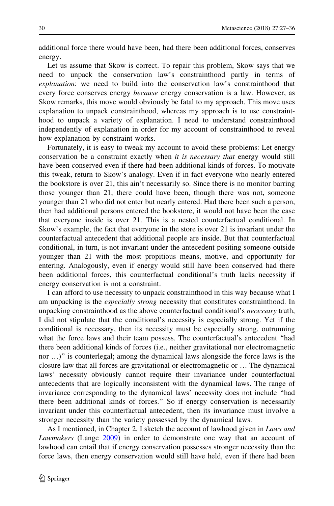additional force there would have been, had there been additional forces, conserves energy.

Let us assume that Skow is correct. To repair this problem, Skow says that we need to unpack the conservation law's constrainthood partly in terms of explanation: we need to build into the conservation law's constrainthood that every force conserves energy *because* energy conservation is a law. However, as Skow remarks, this move would obviously be fatal to my approach. This move uses explanation to unpack constrainthood, whereas my approach is to use constrainthood to unpack a variety of explanation. I need to understand constrainthood independently of explanation in order for my account of constrainthood to reveal how explanation by constraint works.

Fortunately, it is easy to tweak my account to avoid these problems: Let energy conservation be a constraint exactly when it is necessary that energy would still have been conserved even if there had been additional kinds of forces. To motivate this tweak, return to Skow's analogy. Even if in fact everyone who nearly entered the bookstore is over 21, this ain't necessarily so. Since there is no monitor barring those younger than 21, there could have been, though there was not, someone younger than 21 who did not enter but nearly entered. Had there been such a person, then had additional persons entered the bookstore, it would not have been the case that everyone inside is over 21. This is a nested counterfactual conditional. In Skow's example, the fact that everyone in the store is over 21 is invariant under the counterfactual antecedent that additional people are inside. But that counterfactual conditional, in turn, is not invariant under the antecedent positing someone outside younger than 21 with the most propitious means, motive, and opportunity for entering. Analogously, even if energy would still have been conserved had there been additional forces, this counterfactual conditional's truth lacks necessity if energy conservation is not a constraint.

I can afford to use necessity to unpack constrainthood in this way because what I am unpacking is the *especially strong* necessity that constitutes constrainthood. In unpacking constrainthood as the above counterfactual conditional's *necessary* truth, I did not stipulate that the conditional's necessity is especially strong. Yet if the conditional is necessary, then its necessity must be especially strong, outrunning what the force laws and their team possess. The counterfactual's antecedent ''had there been additional kinds of forces (i.e., neither gravitational nor electromagnetic nor …)'' is counterlegal; among the dynamical laws alongside the force laws is the closure law that all forces are gravitational or electromagnetic or … The dynamical laws' necessity obviously cannot require their invariance under counterfactual antecedents that are logically inconsistent with the dynamical laws. The range of invariance corresponding to the dynamical laws' necessity does not include ''had there been additional kinds of forces.'' So if energy conservation is necessarily invariant under this counterfactual antecedent, then its invariance must involve a stronger necessity than the variety possessed by the dynamical laws.

As I mentioned, in Chapter 2, I sketch the account of lawhood given in Laws and Lawmakers (Lange [2009](#page-9-0)) in order to demonstrate one way that an account of lawhood can entail that if energy conservation possesses stronger necessity than the force laws, then energy conservation would still have held, even if there had been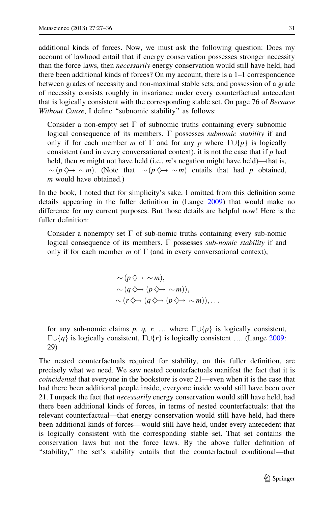additional kinds of forces. Now, we must ask the following question: Does my account of lawhood entail that if energy conservation possesses stronger necessity than the force laws, then *necessarily* energy conservation would still have held, had there been additional kinds of forces? On my account, there is a 1–1 correspondence between grades of necessity and non-maximal stable sets, and possession of a grade of necessity consists roughly in invariance under every counterfactual antecedent that is logically consistent with the corresponding stable set. On page 76 of Because Without Cause, I define "subnomic stability" as follows:

Consider a non-empty set  $\Gamma$  of subnomic truths containing every subnomic logical consequence of its members.  $\Gamma$  possesses *subnomic stability* if and only if for each member m of  $\Gamma$  and for any p where  $\Gamma \cup \{p\}$  is logically consistent (and in every conversational context), it is not the case that if  $p$  had held, then  $m$  might not have held (i.e.,  $m$ 's negation might have held)—that is,  $\sim (p \diamondsuit \rightarrow \sim m)$ . (Note that  $\sim (p \diamondsuit \rightarrow \sim m)$  entails that had p obtained, m would have obtained.)

In the book, I noted that for simplicity's sake, I omitted from this definition some details appearing in the fuller definition in (Lange [2009](#page-9-0)) that would make no difference for my current purposes. But those details are helpful now! Here is the fuller definition:

Consider a nonempty set  $\Gamma$  of sub-nomic truths containing every sub-nomic logical consequence of its members.  $\Gamma$  possesses *sub-nomic stability* if and only if for each member m of  $\Gamma$  (and in every conversational context),

$$
\sim (p \diamondsuit \rightarrow \sim m),
$$
  
\sim (q \diamondsuit \rightarrow (p \diamondsuit \rightarrow \sim m)),  
\sim (r \diamondsuit \rightarrow (q \diamondsuit \rightarrow (p \diamondsuit \rightarrow \sim m)),...

for any sub-nomic claims p, q, r, ... where  $\Gamma \cup \{p\}$  is logically consistent,  $\Gamma \cup \{q\}$  is logically consistent,  $\Gamma \cup \{r\}$  is logically consistent .... (Lange [2009](#page-9-0): 29)

The nested counterfactuals required for stability, on this fuller definition, are precisely what we need. We saw nested counterfactuals manifest the fact that it is coincidental that everyone in the bookstore is over 21—even when it is the case that had there been additional people inside, everyone inside would still have been over 21. I unpack the fact that *necessarily* energy conservation would still have held, had there been additional kinds of forces, in terms of nested counterfactuals: that the relevant counterfactual—that energy conservation would still have held, had there been additional kinds of forces—would still have held, under every antecedent that is logically consistent with the corresponding stable set. That set contains the conservation laws but not the force laws. By the above fuller definition of ''stability,'' the set's stability entails that the counterfactual conditional—that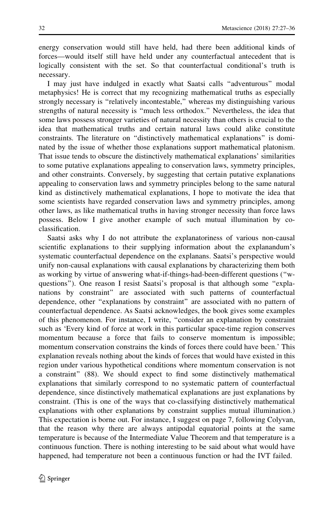energy conservation would still have held, had there been additional kinds of forces—would itself still have held under any counterfactual antecedent that is logically consistent with the set. So that counterfactual conditional's truth is necessary.

I may just have indulged in exactly what Saatsi calls ''adventurous'' modal metaphysics! He is correct that my recognizing mathematical truths as especially strongly necessary is ''relatively incontestable,'' whereas my distinguishing various strengths of natural necessity is ''much less orthodox.'' Nevertheless, the idea that some laws possess stronger varieties of natural necessity than others is crucial to the idea that mathematical truths and certain natural laws could alike constitute constraints. The literature on ''distinctively mathematical explanations'' is dominated by the issue of whether those explanations support mathematical platonism. That issue tends to obscure the distinctively mathematical explanations' similarities to some putative explanations appealing to conservation laws, symmetry principles, and other constraints. Conversely, by suggesting that certain putative explanations appealing to conservation laws and symmetry principles belong to the same natural kind as distinctively mathematical explanations, I hope to motivate the idea that some scientists have regarded conservation laws and symmetry principles, among other laws, as like mathematical truths in having stronger necessity than force laws possess. Below I give another example of such mutual illumination by coclassification.

Saatsi asks why I do not attribute the explanatoriness of various non-causal scientific explanations to their supplying information about the explanandum's systematic counterfactual dependence on the explanans. Saatsi's perspective would unify non-causal explanations with causal explanations by characterizing them both as working by virtue of answering what-if-things-had-been-different questions (''wquestions''). One reason I resist Saatsi's proposal is that although some ''explanations by constraint'' are associated with such patterns of counterfactual dependence, other ''explanations by constraint'' are associated with no pattern of counterfactual dependence. As Saatsi acknowledges, the book gives some examples of this phenomenon. For instance, I write, ''consider an explanation by constraint such as 'Every kind of force at work in this particular space-time region conserves momentum because a force that fails to conserve momentum is impossible; momentum conservation constrains the kinds of forces there could have been.' This explanation reveals nothing about the kinds of forces that would have existed in this region under various hypothetical conditions where momentum conservation is not a constraint'' (88). We should expect to find some distinctively mathematical explanations that similarly correspond to no systematic pattern of counterfactual dependence, since distinctively mathematical explanations are just explanations by constraint. (This is one of the ways that co-classifying distinctively mathematical explanations with other explanations by constraint supplies mutual illumination.) This expectation is borne out. For instance, I suggest on page 7, following Colyvan, that the reason why there are always antipodal equatorial points at the same temperature is because of the Intermediate Value Theorem and that temperature is a continuous function. There is nothing interesting to be said about what would have happened, had temperature not been a continuous function or had the IVT failed.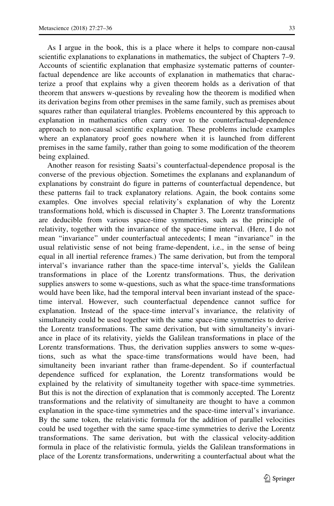As I argue in the book, this is a place where it helps to compare non-causal scientific explanations to explanations in mathematics, the subject of Chapters 7–9. Accounts of scientific explanation that emphasize systematic patterns of counterfactual dependence are like accounts of explanation in mathematics that characterize a proof that explains why a given theorem holds as a derivation of that theorem that answers w-questions by revealing how the theorem is modified when its derivation begins from other premises in the same family, such as premises about squares rather than equilateral triangles. Problems encountered by this approach to explanation in mathematics often carry over to the counterfactual-dependence approach to non-causal scientific explanation. These problems include examples where an explanatory proof goes nowhere when it is launched from different premises in the same family, rather than going to some modification of the theorem being explained.

Another reason for resisting Saatsi's counterfactual-dependence proposal is the converse of the previous objection. Sometimes the explanans and explanandum of explanations by constraint do figure in patterns of counterfactual dependence, but these patterns fail to track explanatory relations. Again, the book contains some examples. One involves special relativity's explanation of why the Lorentz transformations hold, which is discussed in Chapter 3. The Lorentz transformations are deducible from various space-time symmetries, such as the principle of relativity, together with the invariance of the space-time interval. (Here, I do not mean ''invariance'' under counterfactual antecedents; I mean ''invariance'' in the usual relativistic sense of not being frame-dependent, i.e., in the sense of being equal in all inertial reference frames.) The same derivation, but from the temporal interval's invariance rather than the space-time interval's, yields the Galilean transformations in place of the Lorentz transformations. Thus, the derivation supplies answers to some w-questions, such as what the space-time transformations would have been like, had the temporal interval been invariant instead of the spacetime interval. However, such counterfactual dependence cannot suffice for explanation. Instead of the space-time interval's invariance, the relativity of simultaneity could be used together with the same space-time symmetries to derive the Lorentz transformations. The same derivation, but with simultaneity's invariance in place of its relativity, yields the Galilean transformations in place of the Lorentz transformations. Thus, the derivation supplies answers to some w-questions, such as what the space-time transformations would have been, had simultaneity been invariant rather than frame-dependent. So if counterfactual dependence sufficed for explanation, the Lorentz transformations would be explained by the relativity of simultaneity together with space-time symmetries. But this is not the direction of explanation that is commonly accepted. The Lorentz transformations and the relativity of simultaneity are thought to have a common explanation in the space-time symmetries and the space-time interval's invariance. By the same token, the relativistic formula for the addition of parallel velocities could be used together with the same space-time symmetries to derive the Lorentz transformations. The same derivation, but with the classical velocity-addition formula in place of the relativistic formula, yields the Galilean transformations in place of the Lorentz transformations, underwriting a counterfactual about what the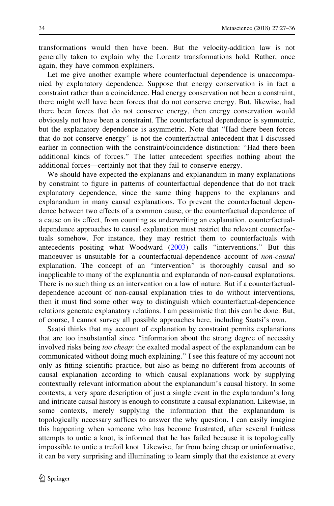transformations would then have been. But the velocity-addition law is not generally taken to explain why the Lorentz transformations hold. Rather, once again, they have common explainers.

Let me give another example where counterfactual dependence is unaccompanied by explanatory dependence. Suppose that energy conservation is in fact a constraint rather than a coincidence. Had energy conservation not been a constraint, there might well have been forces that do not conserve energy. But, likewise, had there been forces that do not conserve energy, then energy conservation would obviously not have been a constraint. The counterfactual dependence is symmetric, but the explanatory dependence is asymmetric. Note that ''Had there been forces that do not conserve energy'' is not the counterfactual antecedent that I discussed earlier in connection with the constraint/coincidence distinction: ''Had there been additional kinds of forces.'' The latter antecedent specifies nothing about the additional forces—certainly not that they fail to conserve energy.

We should have expected the explanans and explanandum in many explanations by constraint to figure in patterns of counterfactual dependence that do not track explanatory dependence, since the same thing happens to the explanans and explanandum in many causal explanations. To prevent the counterfactual dependence between two effects of a common cause, or the counterfactual dependence of a cause on its effect, from counting as underwriting an explanation, counterfactualdependence approaches to causal explanation must restrict the relevant counterfactuals somehow. For instance, they may restrict them to counterfactuals with antecedents positing what Woodward ([2003\)](#page-9-0) calls ''interventions.'' But this manoeuver is unsuitable for a counterfactual-dependence account of non-causal explanation. The concept of an ''intervention'' is thoroughly causal and so inapplicable to many of the explanantia and explananda of non-causal explanations. There is no such thing as an intervention on a law of nature. But if a counterfactualdependence account of non-causal explanation tries to do without interventions, then it must find some other way to distinguish which counterfactual-dependence relations generate explanatory relations. I am pessimistic that this can be done. But, of course, I cannot survey all possible approaches here, including Saatsi's own.

Saatsi thinks that my account of explanation by constraint permits explanations that are too insubstantial since ''information about the strong degree of necessity involved risks being too cheap: the exalted modal aspect of the explanandum can be communicated without doing much explaining.'' I see this feature of my account not only as fitting scientific practice, but also as being no different from accounts of causal explanation according to which causal explanations work by supplying contextually relevant information about the explanandum's causal history. In some contexts, a very spare description of just a single event in the explanandum's long and intricate causal history is enough to constitute a causal explanation. Likewise, in some contexts, merely supplying the information that the explanandum is topologically necessary suffices to answer the why question. I can easily imagine this happening when someone who has become frustrated, after several fruitless attempts to untie a knot, is informed that he has failed because it is topologically impossible to untie a trefoil knot. Likewise, far from being cheap or uninformative, it can be very surprising and illuminating to learn simply that the existence at every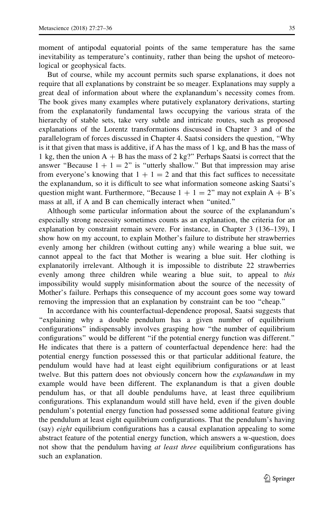moment of antipodal equatorial points of the same temperature has the same inevitability as temperature's continuity, rather than being the upshot of meteorological or geophysical facts.

But of course, while my account permits such sparse explanations, it does not require that all explanations by constraint be so meager. Explanations may supply a great deal of information about where the explanandum's necessity comes from. The book gives many examples where putatively explanatory derivations, starting from the explanatorily fundamental laws occupying the various strata of the hierarchy of stable sets, take very subtle and intricate routes, such as proposed explanations of the Lorentz transformations discussed in Chapter 3 and of the parallelogram of forces discussed in Chapter 4. Saatsi considers the question, ''Why is it that given that mass is additive, if A has the mass of 1 kg, and B has the mass of 1 kg, then the union  $A + B$  has the mass of 2 kg?" Perhaps Saatsi is correct that the answer "Because  $1 + 1 = 2$ " is "utterly shallow." But that impression may arise from everyone's knowing that  $1 + 1 = 2$  and that this fact suffices to necessitate the explanandum, so it is difficult to see what information someone asking Saatsi's question might want. Furthermore, "Because  $1 + 1 = 2$ " may not explain  $A + B$ 's mass at all, if A and B can chemically interact when ''united.''

Although some particular information about the source of the explanandum's especially strong necessity sometimes counts as an explanation, the criteria for an explanation by constraint remain severe. For instance, in Chapter 3 (136–139), I show how on my account, to explain Mother's failure to distribute her strawberries evenly among her children (without cutting any) while wearing a blue suit, we cannot appeal to the fact that Mother is wearing a blue suit. Her clothing is explanatorily irrelevant. Although it is impossible to distribute 22 strawberries evenly among three children while wearing a blue suit, to appeal to *this* impossibility would supply misinformation about the source of the necessity of Mother's failure. Perhaps this consequence of my account goes some way toward removing the impression that an explanation by constraint can be too ''cheap.''

In accordance with his counterfactual-dependence proposal, Saatsi suggests that ''explaining why a double pendulum has a given number of equilibrium configurations'' indispensably involves grasping how ''the number of equilibrium configurations'' would be different ''if the potential energy function was different.'' He indicates that there is a pattern of counterfactual dependence here: had the potential energy function possessed this or that particular additional feature, the pendulum would have had at least eight equilibrium configurations or at least twelve. But this pattern does not obviously concern how the *explanandum* in my example would have been different. The explanandum is that a given double pendulum has, or that all double pendulums have, at least three equilibrium configurations. This explanandum would still have held, even if the given double pendulum's potential energy function had possessed some additional feature giving the pendulum at least eight equilibrium configurations. That the pendulum's having (say) eight equilibrium configurations has a causal explanation appealing to some abstract feature of the potential energy function, which answers a w-question, does not show that the pendulum having at least three equilibrium configurations has such an explanation.